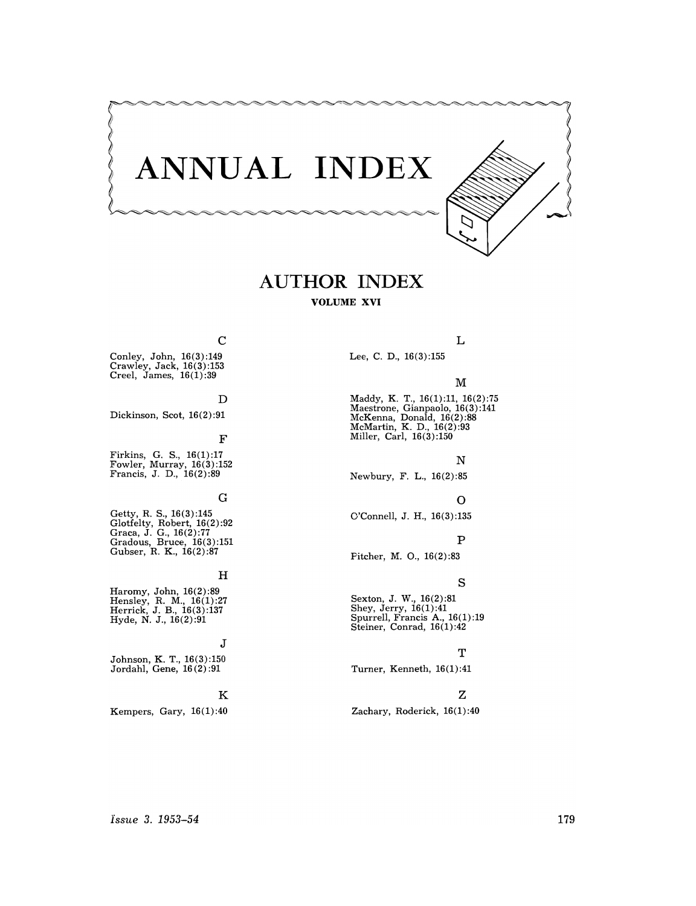

# **AUTHOR INDEX VOLUME XVI**

# C

Conley, John, 16(3):149 Crawley, Jack, 16(3) :153 Creel, James, 16(1):39

# D

Dickinson, Scot, 16(2):91

# F

Firkins, G. S., 16(1):17 Fowler, Murray, 16(3):152 Francis, J. D., 16(2) :89

# G

Getty, R. s., 16(3) :145 Glotfelty, Robert, 16(2):92 Graca, J. G., 16(2):77 Gradous, Bruce, 16(3):151 Gubser, R. K., 16(2):87

# $_{\rm H}$

Haromy, John, 16(2):89 Hensley, R. M., 16(1):27 Herrick, J. B., 16(3):137 Hyde, N. J., 16(2):91

# J

Johnson, K. T., 16(3):150 Jordahl, Gene, 16 (2) :91

# K

Kempers, Gary, 16(1) :40

# L

Lee, C. D., 16(3) :155

# M

Maddy, K. T., 16(1):11, 16(2):75 Maestrone, Gianpaolo, 16(3):141 McKenna, Donald, 16(2) :88 McMartin, K. D., 16(2):93 Miller, Carl, 16(3) :150

# N

Newbury, F. L., 16(2):85

# o

O'Connell, J. H., 16(3):135

# p

Pitcher, M. 0., 16(2) :83

# s

Sexton, J. W., 16(2):81 Shey, Jerry, 16(1) :41 Spurrell, Francis A., 16(1) :19 Steiner, Conrad, 16(1) :42

# T

Turner, Kenneth, 16(1):41

# Z

# Zachary, Roderick, 16(1):40